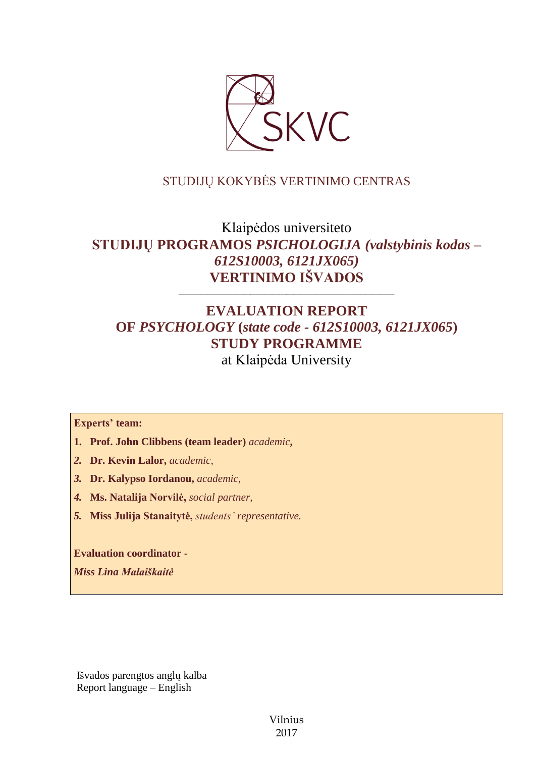

# STUDIJŲ KOKYBĖS VERTINIMO CENTRAS

# Klaipėdos universiteto **STUDIJŲ PROGRAMOS** *PSICHOLOGIJA (valstybinis kodas – 612S10003, 6121JX065)* **VERTINIMO IŠVADOS**

# **EVALUATION REPORT OF** *PSYCHOLOGY* **(***state code - 612S10003, 6121JX065***) STUDY PROGRAMME** at Klaipėda University

––––––––––––––––––––––––––––––

#### **Experts' team:**

- **1. Prof. John Clibbens (team leader)** *academic***,**
- *2.* **Dr. Kevin Lalor,** *academic,*
- *3.* **Dr. Kalypso Iordanou,** *academic,*
- *4.* **Ms. Natalija Norvilė,** *social partner,*
- *5.* **Miss Julija Stanaitytė,** *students' representative.*

**Evaluation coordinator -**

*Miss Lina Malaiškaitė*

Išvados parengtos anglų kalba Report language – English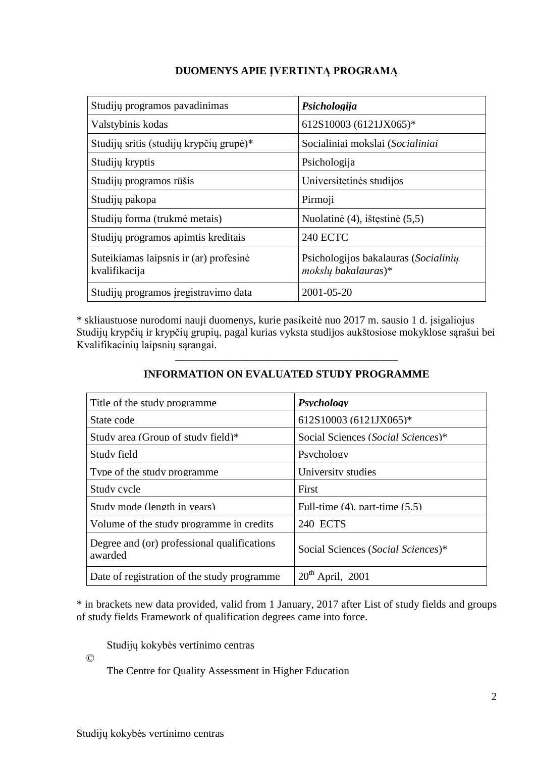| Studijų programos pavadinimas                           | Psichologija                                                    |
|---------------------------------------------------------|-----------------------------------------------------------------|
| Valstybinis kodas                                       | 612S10003 (6121JX065)*                                          |
| Studijų sritis (studijų krypčių grupė)*                 | Socialiniai mokslai (Socialiniai                                |
| Studijų kryptis                                         | Psichologija                                                    |
| Studijų programos rūšis                                 | Universitetinės studijos                                        |
| Studiju pakopa                                          | Pirmoji                                                         |
| Studijų forma (trukmė metais)                           | Nuolatinė (4), ištestinė (5,5)                                  |
| Studijų programos apimtis kreditais                     | <b>240 ECTC</b>                                                 |
| Suteikiamas laipsnis ir (ar) profesinė<br>kvalifikacija | Psichologijos bakalauras (Socialinių<br>mokslų bakalauras $)$ * |
| Studijų programos iregistravimo data                    | 2001-05-20                                                      |

# **DUOMENYS APIE ĮVERTINTĄ PROGRAMĄ**

\* skliaustuose nurodomi nauji duomenys, kurie pasikeitė nuo 2017 m. sausio 1 d. įsigaliojus Studijų krypčių ir krypčių grupių, pagal kurias vyksta studijos aukštosiose mokyklose sąrašui bei Kvalifikacinių laipsnių sąrangai.

| Title of the study programme                           | <b>Psychology</b>                   |
|--------------------------------------------------------|-------------------------------------|
| State code                                             | 612S10003 (6121JX065)*              |
| Study area (Group of study field)*                     | Social Sciences (Social Sciences)*  |
| Study field                                            | Psychology                          |
| Type of the study programme                            | University studies                  |
| Study cycle                                            | First                               |
| Study mode (length in years)                           | Full-time $(4)$ , part-time $(5.5)$ |
| Volume of the study programme in credits               | 240 ECTS                            |
| Degree and (or) professional qualifications<br>awarded | Social Sciences (Social Sciences)*  |
| Date of registration of the study programme            | $20th$ April, 2001                  |

# ––––––––––––––––––––––––––––––– **INFORMATION ON EVALUATED STUDY PROGRAMME**

\* in brackets new data provided, valid from 1 January, 2017 after List of study fields and groups of study fields Framework of qualification degrees came into force.

Studijų kokybės vertinimo centras

©

The Centre for Quality Assessment in Higher Education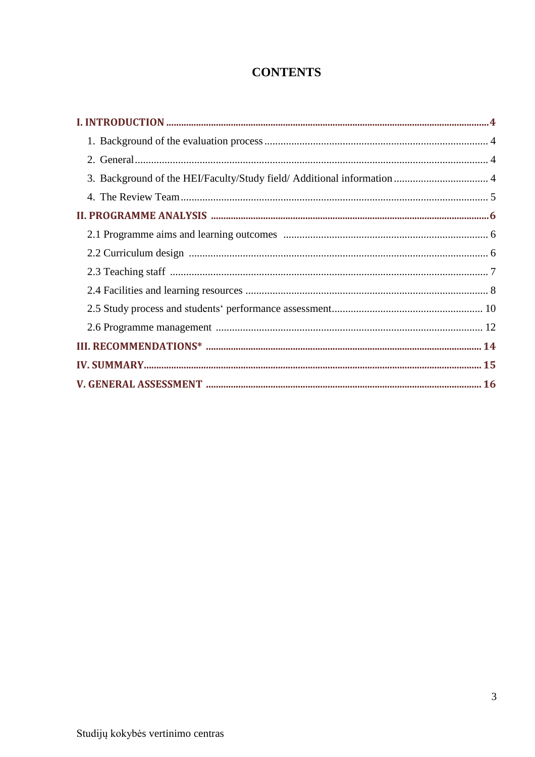# **CONTENTS**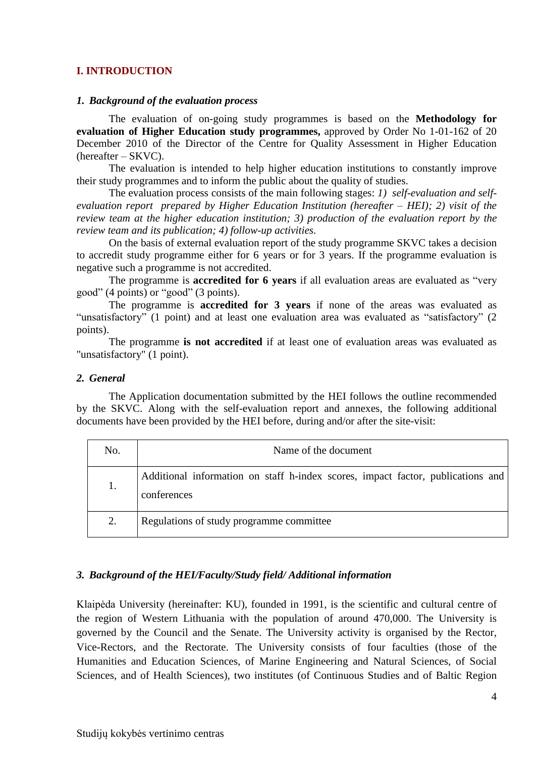### **I. INTRODUCTION**

#### *1. Background of the evaluation process*

The evaluation of on-going study programmes is based on the **Methodology for evaluation of Higher Education study programmes,** approved by Order No 1-01-162 of 20 December 2010 of the Director of the Centre for Quality Assessment in Higher Education (hereafter – SKVC).

The evaluation is intended to help higher education institutions to constantly improve their study programmes and to inform the public about the quality of studies.

The evaluation process consists of the main following stages: *1) self-evaluation and selfevaluation report prepared by Higher Education Institution (hereafter – HEI); 2) visit of the review team at the higher education institution; 3) production of the evaluation report by the review team and its publication; 4) follow-up activities.*

On the basis of external evaluation report of the study programme SKVC takes a decision to accredit study programme either for 6 years or for 3 years. If the programme evaluation is negative such a programme is not accredited.

The programme is **accredited for 6 years** if all evaluation areas are evaluated as "very good" (4 points) or "good" (3 points).

The programme is **accredited for 3 years** if none of the areas was evaluated as "unsatisfactory" (1 point) and at least one evaluation area was evaluated as "satisfactory" (2 points).

The programme **is not accredited** if at least one of evaluation areas was evaluated as "unsatisfactory" (1 point).

#### *2. General*

The Application documentation submitted by the HEI follows the outline recommended by the SKVC. Along with the self-evaluation report and annexes, the following additional documents have been provided by the HEI before, during and/or after the site-visit:

| No. | Name of the document                                                                           |  |
|-----|------------------------------------------------------------------------------------------------|--|
| 1.  | Additional information on staff h-index scores, impact factor, publications and<br>conferences |  |
| 2.  | Regulations of study programme committee                                                       |  |

#### *3. Background of the HEI/Faculty/Study field/ Additional information*

Klaipėda University (hereinafter: KU), founded in 1991, is the scientific and cultural centre of the region of Western Lithuania with the population of around 470,000. The University is governed by the Council and the Senate. The University activity is organised by the Rector, Vice-Rectors, and the Rectorate. The University consists of four faculties (those of the Humanities and Education Sciences, of Marine Engineering and Natural Sciences, of Social Sciences, and of Health Sciences), two institutes (of Continuous Studies and of Baltic Region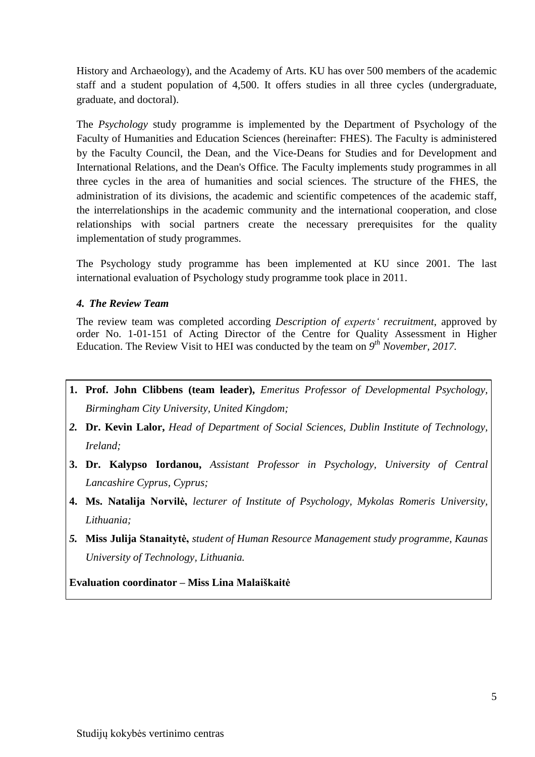History and Archaeology), and the Academy of Arts. KU has over 500 members of the academic staff and a student population of 4,500. It offers studies in all three cycles (undergraduate, graduate, and doctoral).

The *Psychology* study programme is implemented by the Department of Psychology of the Faculty of Humanities and Education Sciences (hereinafter: FHES). The Faculty is administered by the Faculty Council, the Dean, and the Vice-Deans for Studies and for Development and International Relations, and the Dean's Office. The Faculty implements study programmes in all three cycles in the area of humanities and social sciences. The structure of the FHES, the administration of its divisions, the academic and scientific competences of the academic staff, the interrelationships in the academic community and the international cooperation, and close relationships with social partners create the necessary prerequisites for the quality implementation of study programmes.

The Psychology study programme has been implemented at KU since 2001. The last international evaluation of Psychology study programme took place in 2011.

### *4. The Review Team*

The review team was completed according *Description of experts' recruitment*, approved by order No. 1-01-151 of Acting Director of the Centre for Quality Assessment in Higher Education. The Review Visit to HEI was conducted by the team on *9 th November, 2017.*

- **1. Prof. John Clibbens (team leader),** *Emeritus Professor of Developmental Psychology, Birmingham City University, United Kingdom;*
- *2.* **Dr. Kevin Lalor,** *Head of Department of Social Sciences, Dublin Institute of Technology, Ireland;*
- **3. Dr. Kalypso Iordanou,** *Assistant Professor in Psychology, University of Central Lancashire Cyprus, Cyprus;*
- **4. Ms. Natalija Norvilė,** *lecturer of Institute of Psychology, Mykolas Romeris University, Lithuania;*
- *5.* **Miss Julija Stanaitytė,** *student of Human Resource Management study programme, Kaunas University of Technology, Lithuania.*

**Evaluation coordinator – Miss Lina Malaiškaitė**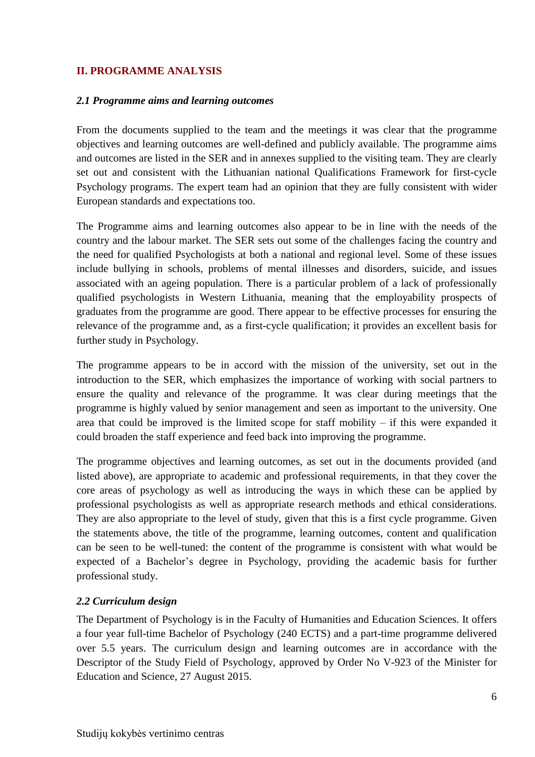## **II. PROGRAMME ANALYSIS**

#### *2.1 Programme aims and learning outcomes*

From the documents supplied to the team and the meetings it was clear that the programme objectives and learning outcomes are well-defined and publicly available. The programme aims and outcomes are listed in the SER and in annexes supplied to the visiting team. They are clearly set out and consistent with the Lithuanian national Qualifications Framework for first-cycle Psychology programs. The expert team had an opinion that they are fully consistent with wider European standards and expectations too.

The Programme aims and learning outcomes also appear to be in line with the needs of the country and the labour market. The SER sets out some of the challenges facing the country and the need for qualified Psychologists at both a national and regional level. Some of these issues include bullying in schools, problems of mental illnesses and disorders, suicide, and issues associated with an ageing population. There is a particular problem of a lack of professionally qualified psychologists in Western Lithuania, meaning that the employability prospects of graduates from the programme are good. There appear to be effective processes for ensuring the relevance of the programme and, as a first-cycle qualification; it provides an excellent basis for further study in Psychology.

The programme appears to be in accord with the mission of the university, set out in the introduction to the SER, which emphasizes the importance of working with social partners to ensure the quality and relevance of the programme. It was clear during meetings that the programme is highly valued by senior management and seen as important to the university. One area that could be improved is the limited scope for staff mobility – if this were expanded it could broaden the staff experience and feed back into improving the programme.

The programme objectives and learning outcomes, as set out in the documents provided (and listed above), are appropriate to academic and professional requirements, in that they cover the core areas of psychology as well as introducing the ways in which these can be applied by professional psychologists as well as appropriate research methods and ethical considerations. They are also appropriate to the level of study, given that this is a first cycle programme. Given the statements above, the title of the programme, learning outcomes, content and qualification can be seen to be well-tuned: the content of the programme is consistent with what would be expected of a Bachelor's degree in Psychology, providing the academic basis for further professional study.

### *2.2 Curriculum design*

The Department of Psychology is in the Faculty of Humanities and Education Sciences. It offers a four year full-time Bachelor of Psychology (240 ECTS) and a part-time programme delivered over 5.5 years. The curriculum design and learning outcomes are in accordance with the Descriptor of the Study Field of Psychology, approved by Order No V-923 of the Minister for Education and Science, 27 August 2015.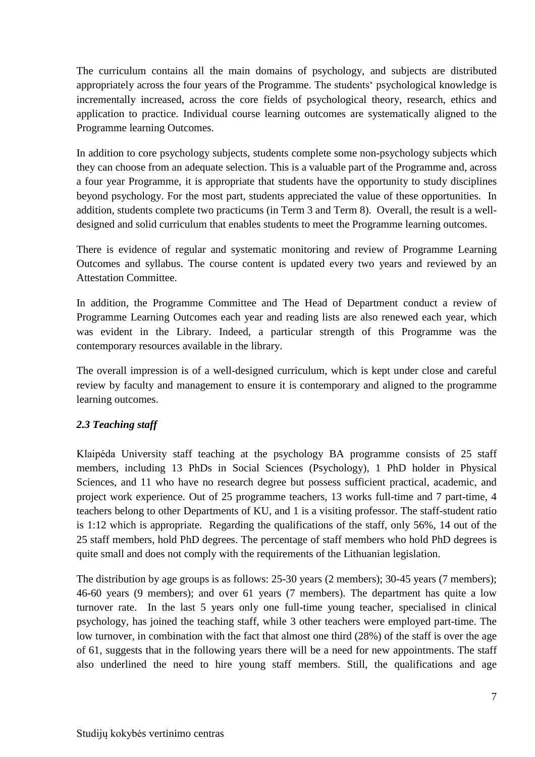The curriculum contains all the main domains of psychology, and subjects are distributed appropriately across the four years of the Programme. The students' psychological knowledge is incrementally increased, across the core fields of psychological theory, research, ethics and application to practice. Individual course learning outcomes are systematically aligned to the Programme learning Outcomes.

In addition to core psychology subjects, students complete some non-psychology subjects which they can choose from an adequate selection. This is a valuable part of the Programme and, across a four year Programme, it is appropriate that students have the opportunity to study disciplines beyond psychology. For the most part, students appreciated the value of these opportunities. In addition, students complete two practicums (in Term 3 and Term 8). Overall, the result is a welldesigned and solid curriculum that enables students to meet the Programme learning outcomes.

There is evidence of regular and systematic monitoring and review of Programme Learning Outcomes and syllabus. The course content is updated every two years and reviewed by an Attestation Committee.

In addition, the Programme Committee and The Head of Department conduct a review of Programme Learning Outcomes each year and reading lists are also renewed each year, which was evident in the Library. Indeed, a particular strength of this Programme was the contemporary resources available in the library.

The overall impression is of a well-designed curriculum, which is kept under close and careful review by faculty and management to ensure it is contemporary and aligned to the programme learning outcomes.

# *2.3 Teaching staff*

Klaipėda University staff teaching at the psychology BA programme consists of 25 staff members, including 13 PhDs in Social Sciences (Psychology), 1 PhD holder in Physical Sciences, and 11 who have no research degree but possess sufficient practical, academic, and project work experience. Out of 25 programme teachers, 13 works full-time and 7 part-time, 4 teachers belong to other Departments of KU, and 1 is a visiting professor. The staff-student ratio is 1:12 which is appropriate. Regarding the qualifications of the staff, only 56%, 14 out of the 25 staff members, hold PhD degrees. The percentage of staff members who hold PhD degrees is quite small and does not comply with the requirements of the Lithuanian legislation.

The distribution by age groups is as follows: 25-30 years (2 members); 30-45 years (7 members); 46-60 years (9 members); and over 61 years (7 members). The department has quite a low turnover rate. In the last 5 years only one full-time young teacher, specialised in clinical psychology, has joined the teaching staff, while 3 other teachers were employed part-time. The low turnover, in combination with the fact that almost one third (28%) of the staff is over the age of 61, suggests that in the following years there will be a need for new appointments. The staff also underlined the need to hire young staff members. Still, the qualifications and age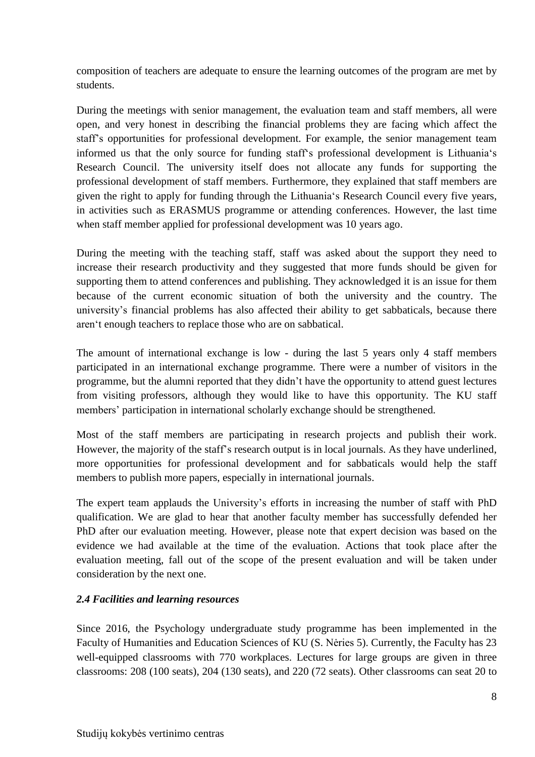composition of teachers are adequate to ensure the learning outcomes of the program are met by students.

During the meetings with senior management, the evaluation team and staff members, all were open, and very honest in describing the financial problems they are facing which affect the staff's opportunities for professional development. For example, the senior management team informed us that the only source for funding staff's professional development is Lithuania's Research Council. The university itself does not allocate any funds for supporting the professional development of staff members. Furthermore, they explained that staff members are given the right to apply for funding through the Lithuania's Research Council every five years, in activities such as ERASMUS programme or attending conferences. However, the last time when staff member applied for professional development was 10 years ago.

During the meeting with the teaching staff, staff was asked about the support they need to increase their research productivity and they suggested that more funds should be given for supporting them to attend conferences and publishing. They acknowledged it is an issue for them because of the current economic situation of both the university and the country. The university's financial problems has also affected their ability to get sabbaticals, because there aren't enough teachers to replace those who are on sabbatical.

The amount of international exchange is low - during the last 5 years only 4 staff members participated in an international exchange programme. There were a number of visitors in the programme, but the alumni reported that they didn't have the opportunity to attend guest lectures from visiting professors, although they would like to have this opportunity. The KU staff members' participation in international scholarly exchange should be strengthened.

Most of the staff members are participating in research projects and publish their work. However, the majority of the staff's research output is in local journals. As they have underlined, more opportunities for professional development and for sabbaticals would help the staff members to publish more papers, especially in international journals.

The expert team applauds the University's efforts in increasing the number of staff with PhD qualification. We are glad to hear that another faculty member has successfully defended her PhD after our evaluation meeting. However, please note that expert decision was based on the evidence we had available at the time of the evaluation. Actions that took place after the evaluation meeting, fall out of the scope of the present evaluation and will be taken under consideration by the next one.

# *2.4 Facilities and learning resources*

Since 2016, the Psychology undergraduate study programme has been implemented in the Faculty of Humanities and Education Sciences of KU (S. Nėries 5). Currently, the Faculty has 23 well-equipped classrooms with 770 workplaces. Lectures for large groups are given in three classrooms: 208 (100 seats), 204 (130 seats), and 220 (72 seats). Other classrooms can seat 20 to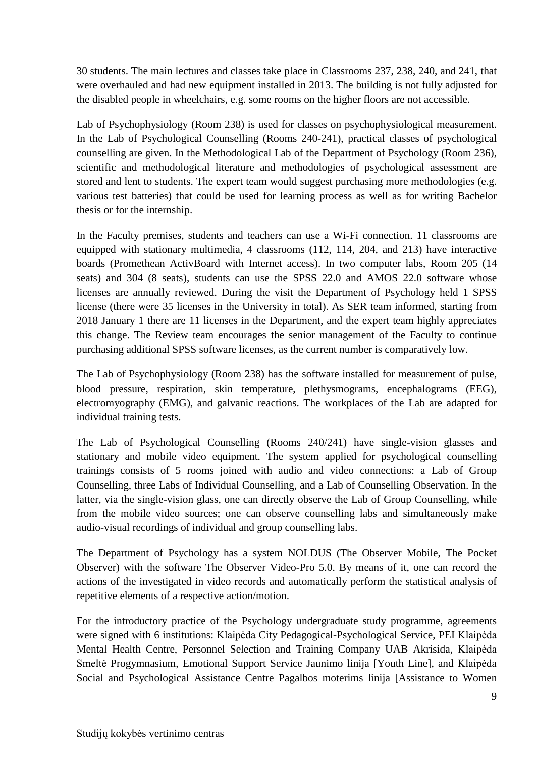30 students. The main lectures and classes take place in Classrooms 237, 238, 240, and 241, that were overhauled and had new equipment installed in 2013. The building is not fully adjusted for the disabled people in wheelchairs, e.g. some rooms on the higher floors are not accessible.

Lab of Psychophysiology (Room 238) is used for classes on psychophysiological measurement. In the Lab of Psychological Counselling (Rooms 240-241), practical classes of psychological counselling are given. In the Methodological Lab of the Department of Psychology (Room 236), scientific and methodological literature and methodologies of psychological assessment are stored and lent to students. The expert team would suggest purchasing more methodologies (e.g. various test batteries) that could be used for learning process as well as for writing Bachelor thesis or for the internship.

In the Faculty premises, students and teachers can use a Wi-Fi connection. 11 classrooms are equipped with stationary multimedia, 4 classrooms (112, 114, 204, and 213) have interactive boards (Promethean ActivBoard with Internet access). In two computer labs, Room 205 (14 seats) and 304 (8 seats), students can use the SPSS 22.0 and AMOS 22.0 software whose licenses are annually reviewed. During the visit the Department of Psychology held 1 SPSS license (there were 35 licenses in the University in total). As SER team informed, starting from 2018 January 1 there are 11 licenses in the Department, and the expert team highly appreciates this change. The Review team encourages the senior management of the Faculty to continue purchasing additional SPSS software licenses, as the current number is comparatively low.

The Lab of Psychophysiology (Room 238) has the software installed for measurement of pulse, blood pressure, respiration, skin temperature, plethysmograms, encephalograms (EEG), electromyography (EMG), and galvanic reactions. The workplaces of the Lab are adapted for individual training tests.

The Lab of Psychological Counselling (Rooms 240/241) have single-vision glasses and stationary and mobile video equipment. The system applied for psychological counselling trainings consists of 5 rooms joined with audio and video connections: a Lab of Group Counselling, three Labs of Individual Counselling, and a Lab of Counselling Observation. In the latter, via the single-vision glass, one can directly observe the Lab of Group Counselling, while from the mobile video sources; one can observe counselling labs and simultaneously make audio-visual recordings of individual and group counselling labs.

The Department of Psychology has a system NOLDUS (The Observer Mobile, The Pocket Observer) with the software The Observer Video-Pro 5.0. By means of it, one can record the actions of the investigated in video records and automatically perform the statistical analysis of repetitive elements of a respective action/motion.

For the introductory practice of the Psychology undergraduate study programme, agreements were signed with 6 institutions: Klaipėda City Pedagogical-Psychological Service, PEI Klaipėda Mental Health Centre, Personnel Selection and Training Company UAB Akrisida, Klaipėda Smeltė Progymnasium, Emotional Support Service Jaunimo linija [Youth Line], and Klaipėda Social and Psychological Assistance Centre Pagalbos moterims linija [Assistance to Women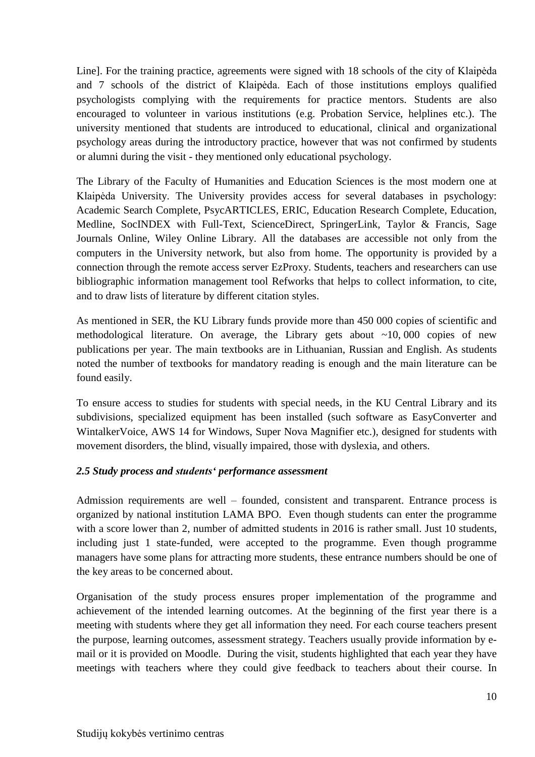Line]. For the training practice, agreements were signed with 18 schools of the city of Klaipėda and 7 schools of the district of Klaipėda. Each of those institutions employs qualified psychologists complying with the requirements for practice mentors. Students are also encouraged to volunteer in various institutions (e.g. Probation Service, helplines etc.). The university mentioned that students are introduced to educational, clinical and organizational psychology areas during the introductory practice, however that was not confirmed by students or alumni during the visit - they mentioned only educational psychology.

The Library of the Faculty of Humanities and Education Sciences is the most modern one at Klaipėda University. The University provides access for several databases in psychology: Academic Search Complete, PsycARTICLES, ERIC, Education Research Complete, Education, Medline, SocINDEX with Full-Text, ScienceDirect, SpringerLink, Taylor & Francis, Sage Journals Online, Wiley Online Library. All the databases are accessible not only from the computers in the University network, but also from home. The opportunity is provided by a connection through the remote access server EzProxy. Students, teachers and researchers can use bibliographic information management tool Refworks that helps to collect information, to cite, and to draw lists of literature by different citation styles.

As mentioned in SER, the KU Library funds provide more than 450 000 copies of scientific and methodological literature. On average, the Library gets about  $\sim$ 10,000 copies of new publications per year. The main textbooks are in Lithuanian, Russian and English. As students noted the number of textbooks for mandatory reading is enough and the main literature can be found easily.

To ensure access to studies for students with special needs, in the KU Central Library and its subdivisions, specialized equipment has been installed (such software as EasyConverter and WintalkerVoice, AWS 14 for Windows, Super Nova Magnifier etc.), designed for students with movement disorders, the blind, visually impaired, those with dyslexia, and others.

# *2.5 Study process and students' performance assessment*

Admission requirements are well – founded, consistent and transparent. Entrance process is organized by national institution LAMA BPO. Even though students can enter the programme with a score lower than 2, number of admitted students in 2016 is rather small. Just 10 students, including just 1 state-funded, were accepted to the programme. Even though programme managers have some plans for attracting more students, these entrance numbers should be one of the key areas to be concerned about.

Organisation of the study process ensures proper implementation of the programme and achievement of the intended learning outcomes. At the beginning of the first year there is a meeting with students where they get all information they need. For each course teachers present the purpose, learning outcomes, assessment strategy. Teachers usually provide information by email or it is provided on Moodle. During the visit, students highlighted that each year they have meetings with teachers where they could give feedback to teachers about their course. In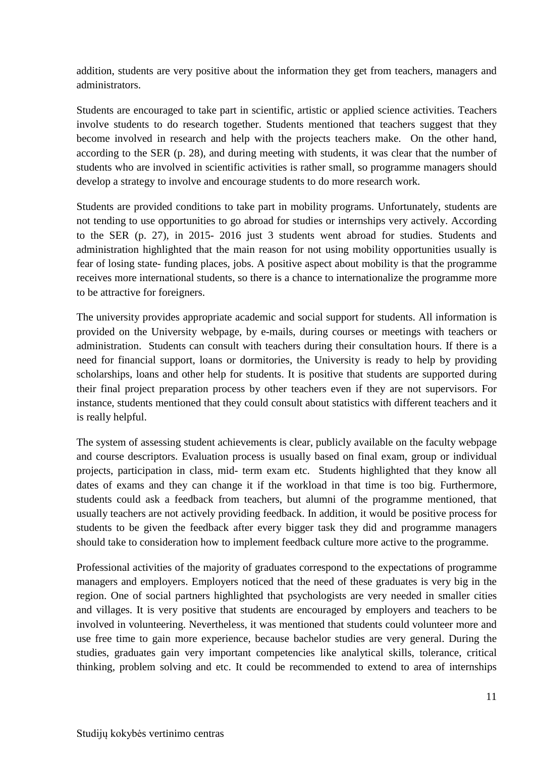addition, students are very positive about the information they get from teachers, managers and administrators.

Students are encouraged to take part in scientific, artistic or applied science activities. Teachers involve students to do research together. Students mentioned that teachers suggest that they become involved in research and help with the projects teachers make. On the other hand, according to the SER (p. 28), and during meeting with students, it was clear that the number of students who are involved in scientific activities is rather small, so programme managers should develop a strategy to involve and encourage students to do more research work.

Students are provided conditions to take part in mobility programs. Unfortunately, students are not tending to use opportunities to go abroad for studies or internships very actively. According to the SER (p. 27), in 2015- 2016 just 3 students went abroad for studies. Students and administration highlighted that the main reason for not using mobility opportunities usually is fear of losing state- funding places, jobs. A positive aspect about mobility is that the programme receives more international students, so there is a chance to internationalize the programme more to be attractive for foreigners.

The university provides appropriate academic and social support for students. All information is provided on the University webpage, by e-mails, during courses or meetings with teachers or administration. Students can consult with teachers during their consultation hours. If there is a need for financial support, loans or dormitories, the University is ready to help by providing scholarships, loans and other help for students. It is positive that students are supported during their final project preparation process by other teachers even if they are not supervisors. For instance, students mentioned that they could consult about statistics with different teachers and it is really helpful.

The system of assessing student achievements is clear, publicly available on the faculty webpage and course descriptors. Evaluation process is usually based on final exam, group or individual projects, participation in class, mid- term exam etc. Students highlighted that they know all dates of exams and they can change it if the workload in that time is too big. Furthermore, students could ask a feedback from teachers, but alumni of the programme mentioned, that usually teachers are not actively providing feedback. In addition, it would be positive process for students to be given the feedback after every bigger task they did and programme managers should take to consideration how to implement feedback culture more active to the programme.

Professional activities of the majority of graduates correspond to the expectations of programme managers and employers. Employers noticed that the need of these graduates is very big in the region. One of social partners highlighted that psychologists are very needed in smaller cities and villages. It is very positive that students are encouraged by employers and teachers to be involved in volunteering. Nevertheless, it was mentioned that students could volunteer more and use free time to gain more experience, because bachelor studies are very general. During the studies, graduates gain very important competencies like analytical skills, tolerance, critical thinking, problem solving and etc. It could be recommended to extend to area of internships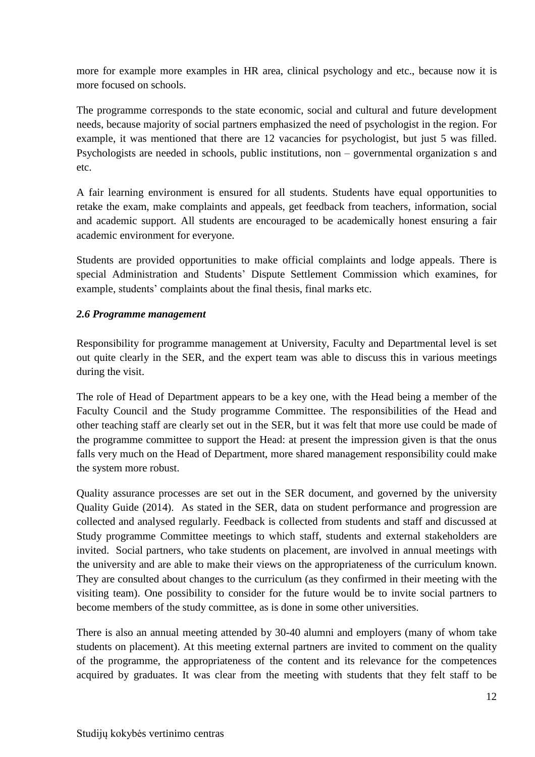more for example more examples in HR area, clinical psychology and etc., because now it is more focused on schools.

The programme corresponds to the state economic, social and cultural and future development needs, because majority of social partners emphasized the need of psychologist in the region. For example, it was mentioned that there are 12 vacancies for psychologist, but just 5 was filled. Psychologists are needed in schools, public institutions, non – governmental organization s and etc.

A fair learning environment is ensured for all students. Students have equal opportunities to retake the exam, make complaints and appeals, get feedback from teachers, information, social and academic support. All students are encouraged to be academically honest ensuring a fair academic environment for everyone.

Students are provided opportunities to make official complaints and lodge appeals. There is special Administration and Students' Dispute Settlement Commission which examines, for example, students' complaints about the final thesis, final marks etc.

## *2.6 Programme management*

Responsibility for programme management at University, Faculty and Departmental level is set out quite clearly in the SER, and the expert team was able to discuss this in various meetings during the visit.

The role of Head of Department appears to be a key one, with the Head being a member of the Faculty Council and the Study programme Committee. The responsibilities of the Head and other teaching staff are clearly set out in the SER, but it was felt that more use could be made of the programme committee to support the Head: at present the impression given is that the onus falls very much on the Head of Department, more shared management responsibility could make the system more robust.

Quality assurance processes are set out in the SER document, and governed by the university Quality Guide (2014). As stated in the SER, data on student performance and progression are collected and analysed regularly. Feedback is collected from students and staff and discussed at Study programme Committee meetings to which staff, students and external stakeholders are invited. Social partners, who take students on placement, are involved in annual meetings with the university and are able to make their views on the appropriateness of the curriculum known. They are consulted about changes to the curriculum (as they confirmed in their meeting with the visiting team). One possibility to consider for the future would be to invite social partners to become members of the study committee, as is done in some other universities.

There is also an annual meeting attended by 30-40 alumni and employers (many of whom take students on placement). At this meeting external partners are invited to comment on the quality of the programme, the appropriateness of the content and its relevance for the competences acquired by graduates. It was clear from the meeting with students that they felt staff to be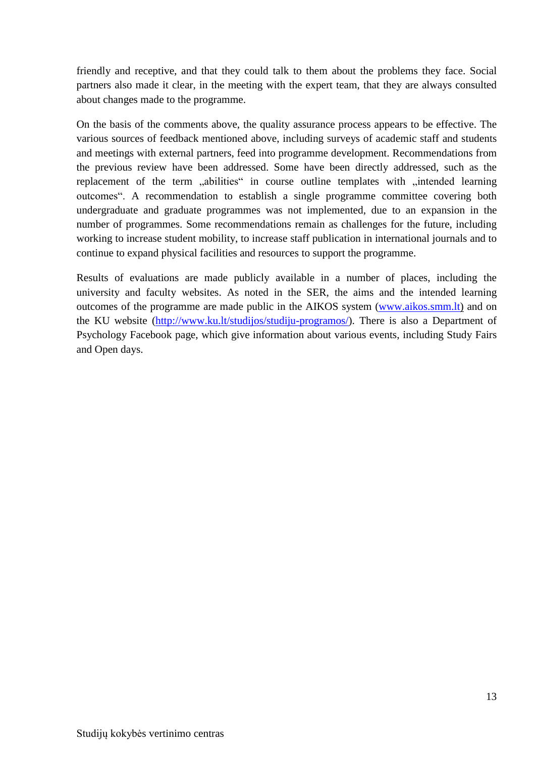friendly and receptive, and that they could talk to them about the problems they face. Social partners also made it clear, in the meeting with the expert team, that they are always consulted about changes made to the programme.

On the basis of the comments above, the quality assurance process appears to be effective. The various sources of feedback mentioned above, including surveys of academic staff and students and meetings with external partners, feed into programme development. Recommendations from the previous review have been addressed. Some have been directly addressed, such as the replacement of the term "abilities" in course outline templates with "intended learning outcomes". A recommendation to establish a single programme committee covering both undergraduate and graduate programmes was not implemented, due to an expansion in the number of programmes. Some recommendations remain as challenges for the future, including working to increase student mobility, to increase staff publication in international journals and to continue to expand physical facilities and resources to support the programme.

Results of evaluations are made publicly available in a number of places, including the university and faculty websites. As noted in the SER, the aims and the intended learning outcomes of the programme are made public in the AIKOS system [\(www.aikos.smm.lt\)](http://www.aikos.smm.lt/) and on the KU website [\(http://www.ku.lt/studijos/studiju-programos/\)](http://www.ku.lt/studijos/studiju-programos/). There is also a Department of Psychology Facebook page, which give information about various events, including Study Fairs and Open days.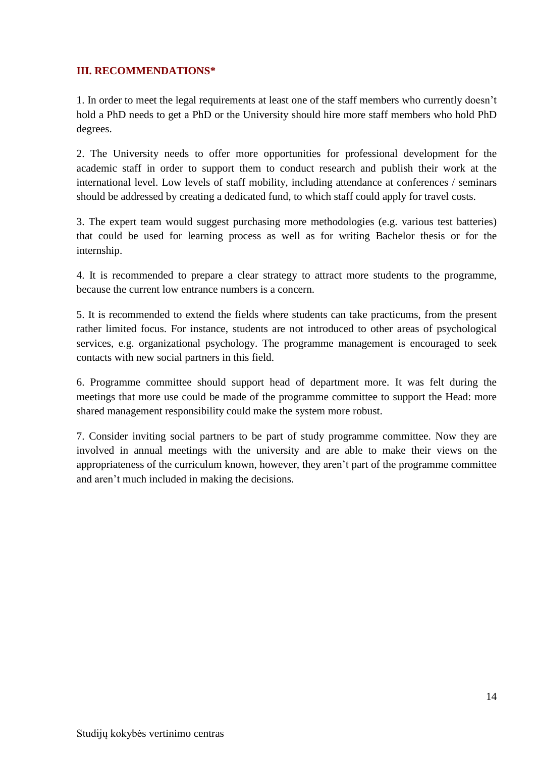### **III. RECOMMENDATIONS\***

1. In order to meet the legal requirements at least one of the staff members who currently doesn't hold a PhD needs to get a PhD or the University should hire more staff members who hold PhD degrees.

2. The University needs to offer more opportunities for professional development for the academic staff in order to support them to conduct research and publish their work at the international level. Low levels of staff mobility, including attendance at conferences / seminars should be addressed by creating a dedicated fund, to which staff could apply for travel costs.

3. The expert team would suggest purchasing more methodologies (e.g. various test batteries) that could be used for learning process as well as for writing Bachelor thesis or for the internship.

4. It is recommended to prepare a clear strategy to attract more students to the programme, because the current low entrance numbers is a concern.

5. It is recommended to extend the fields where students can take practicums, from the present rather limited focus. For instance, students are not introduced to other areas of psychological services, e.g. organizational psychology. The programme management is encouraged to seek contacts with new social partners in this field.

6. Programme committee should support head of department more. It was felt during the meetings that more use could be made of the programme committee to support the Head: more shared management responsibility could make the system more robust.

7. Consider inviting social partners to be part of study programme committee. Now they are involved in annual meetings with the university and are able to make their views on the appropriateness of the curriculum known, however, they aren't part of the programme committee and aren't much included in making the decisions.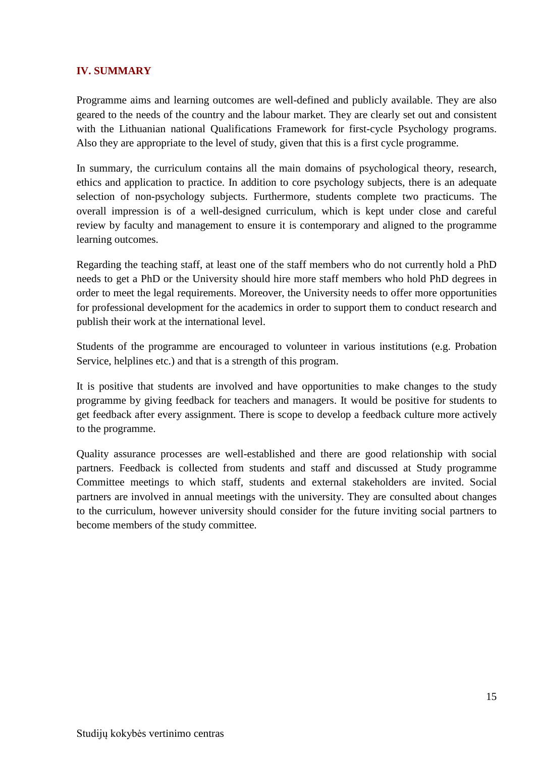### **IV. SUMMARY**

Programme aims and learning outcomes are well-defined and publicly available. They are also geared to the needs of the country and the labour market. They are clearly set out and consistent with the Lithuanian national Qualifications Framework for first-cycle Psychology programs. Also they are appropriate to the level of study, given that this is a first cycle programme.

In summary, the curriculum contains all the main domains of psychological theory, research, ethics and application to practice. In addition to core psychology subjects, there is an adequate selection of non-psychology subjects. Furthermore, students complete two practicums. The overall impression is of a well-designed curriculum, which is kept under close and careful review by faculty and management to ensure it is contemporary and aligned to the programme learning outcomes.

Regarding the teaching staff, at least one of the staff members who do not currently hold a PhD needs to get a PhD or the University should hire more staff members who hold PhD degrees in order to meet the legal requirements. Moreover, the University needs to offer more opportunities for professional development for the academics in order to support them to conduct research and publish their work at the international level.

Students of the programme are encouraged to volunteer in various institutions (e.g. Probation Service, helplines etc.) and that is a strength of this program.

It is positive that students are involved and have opportunities to make changes to the study programme by giving feedback for teachers and managers. It would be positive for students to get feedback after every assignment. There is scope to develop a feedback culture more actively to the programme.

Quality assurance processes are well-established and there are good relationship with social partners. Feedback is collected from students and staff and discussed at Study programme Committee meetings to which staff, students and external stakeholders are invited. Social partners are involved in annual meetings with the university. They are consulted about changes to the curriculum, however university should consider for the future inviting social partners to become members of the study committee.